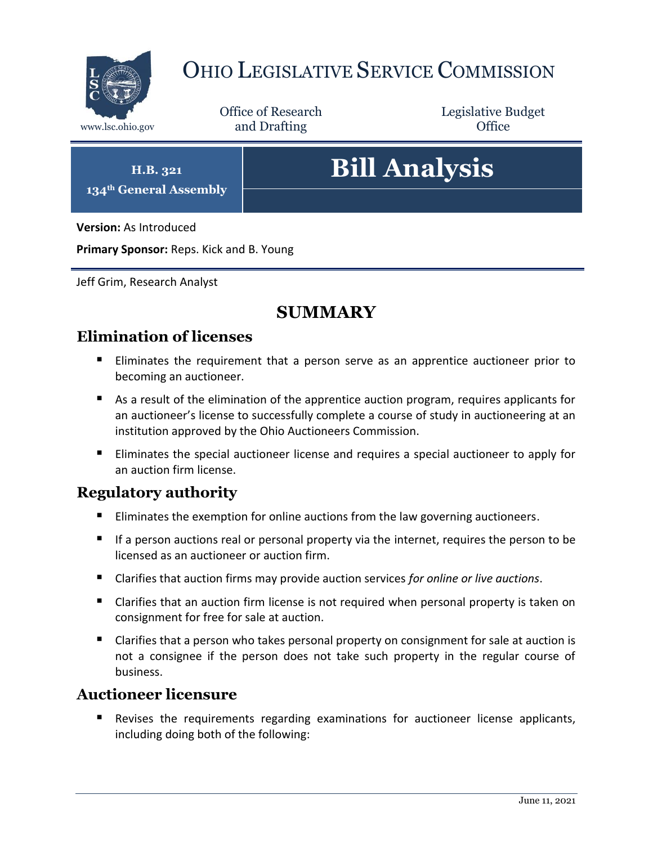

## OHIO LEGISLATIVE SERVICE COMMISSION

Office of Research www.lsc.ohio.gov **and Drafting Office** 

Legislative Budget

**H.B. 321 134th General Assembly**

# **Bill Analysis**

**Version:** As Introduced

**Primary Sponsor:** Reps. Kick and B. Young

Jeff Grim, Research Analyst

## **SUMMARY**

### **Elimination of licenses**

- Eliminates the requirement that a person serve as an apprentice auctioneer prior to becoming an auctioneer.
- As a result of the elimination of the apprentice auction program, requires applicants for an auctioneer's license to successfully complete a course of study in auctioneering at an institution approved by the Ohio Auctioneers Commission.
- **Eliminates the special auctioneer license and requires a special auctioneer to apply for** an auction firm license.

#### **Regulatory authority**

- Eliminates the exemption for online auctions from the law governing auctioneers.
- If a person auctions real or personal property via the internet, requires the person to be licensed as an auctioneer or auction firm.
- Clarifies that auction firms may provide auction services *for online or live auctions*.
- Clarifies that an auction firm license is not required when personal property is taken on consignment for free for sale at auction.
- Clarifies that a person who takes personal property on consignment for sale at auction is not a consignee if the person does not take such property in the regular course of business.

#### **Auctioneer licensure**

 Revises the requirements regarding examinations for auctioneer license applicants, including doing both of the following: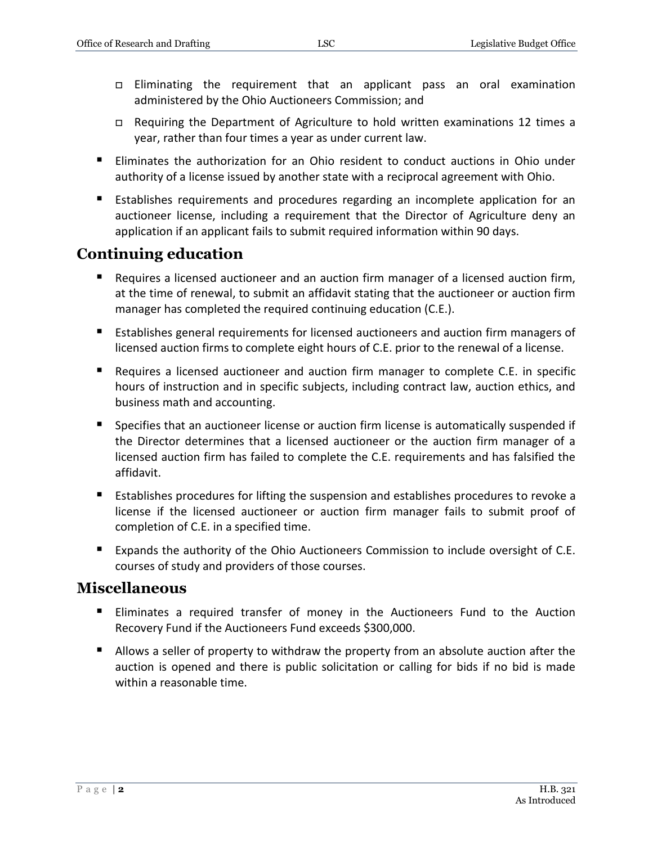- Eliminating the requirement that an applicant pass an oral examination administered by the Ohio Auctioneers Commission; and
- Requiring the Department of Agriculture to hold written examinations 12 times a year, rather than four times a year as under current law.
- Eliminates the authorization for an Ohio resident to conduct auctions in Ohio under authority of a license issued by another state with a reciprocal agreement with Ohio.
- Establishes requirements and procedures regarding an incomplete application for an auctioneer license, including a requirement that the Director of Agriculture deny an application if an applicant fails to submit required information within 90 days.

## **Continuing education**

- Requires a licensed auctioneer and an auction firm manager of a licensed auction firm, at the time of renewal, to submit an affidavit stating that the auctioneer or auction firm manager has completed the required continuing education (C.E.).
- **E** Establishes general requirements for licensed auctioneers and auction firm managers of licensed auction firms to complete eight hours of C.E. prior to the renewal of a license.
- Requires a licensed auctioneer and auction firm manager to complete C.E. in specific hours of instruction and in specific subjects, including contract law, auction ethics, and business math and accounting.
- **Specifies that an auctioneer license or auction firm license is automatically suspended if** the Director determines that a licensed auctioneer or the auction firm manager of a licensed auction firm has failed to complete the C.E. requirements and has falsified the affidavit.
- **E** Establishes procedures for lifting the suspension and establishes procedures to revoke a license if the licensed auctioneer or auction firm manager fails to submit proof of completion of C.E. in a specified time.
- **Expands the authority of the Ohio Auctioneers Commission to include oversight of C.E.** courses of study and providers of those courses.

#### **Miscellaneous**

- Eliminates a required transfer of money in the Auctioneers Fund to the Auction Recovery Fund if the Auctioneers Fund exceeds \$300,000.
- Allows a seller of property to withdraw the property from an absolute auction after the auction is opened and there is public solicitation or calling for bids if no bid is made within a reasonable time.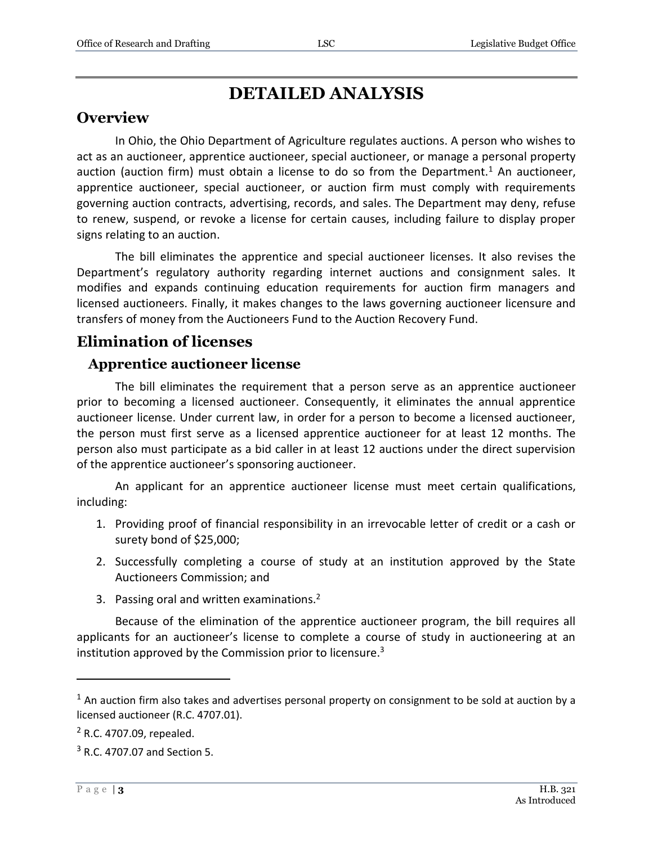## **DETAILED ANALYSIS**

#### **Overview**

In Ohio, the Ohio Department of Agriculture regulates auctions. A person who wishes to act as an auctioneer, apprentice auctioneer, special auctioneer, or manage a personal property auction (auction firm) must obtain a license to do so from the Department.<sup>1</sup> An auctioneer, apprentice auctioneer, special auctioneer, or auction firm must comply with requirements governing auction contracts, advertising, records, and sales. The Department may deny, refuse to renew, suspend, or revoke a license for certain causes, including failure to display proper signs relating to an auction.

The bill eliminates the apprentice and special auctioneer licenses. It also revises the Department's regulatory authority regarding internet auctions and consignment sales. It modifies and expands continuing education requirements for auction firm managers and licensed auctioneers. Finally, it makes changes to the laws governing auctioneer licensure and transfers of money from the Auctioneers Fund to the Auction Recovery Fund.

## **Elimination of licenses**

#### **Apprentice auctioneer license**

The bill eliminates the requirement that a person serve as an apprentice auctioneer prior to becoming a licensed auctioneer. Consequently, it eliminates the annual apprentice auctioneer license. Under current law, in order for a person to become a licensed auctioneer, the person must first serve as a licensed apprentice auctioneer for at least 12 months. The person also must participate as a bid caller in at least 12 auctions under the direct supervision of the apprentice auctioneer's sponsoring auctioneer.

An applicant for an apprentice auctioneer license must meet certain qualifications, including:

- 1. Providing proof of financial responsibility in an irrevocable letter of credit or a cash or surety bond of \$25,000;
- 2. Successfully completing a course of study at an institution approved by the State Auctioneers Commission; and
- 3. Passing oral and written examinations.<sup>2</sup>

Because of the elimination of the apprentice auctioneer program, the bill requires all applicants for an auctioneer's license to complete a course of study in auctioneering at an institution approved by the Commission prior to licensure. $3$ 

 $<sup>1</sup>$  An auction firm also takes and advertises personal property on consignment to be sold at auction by a</sup> licensed auctioneer (R.C. 4707.01).

<sup>2</sup> R.C. 4707.09, repealed.

<sup>3</sup> R.C. 4707.07 and Section 5.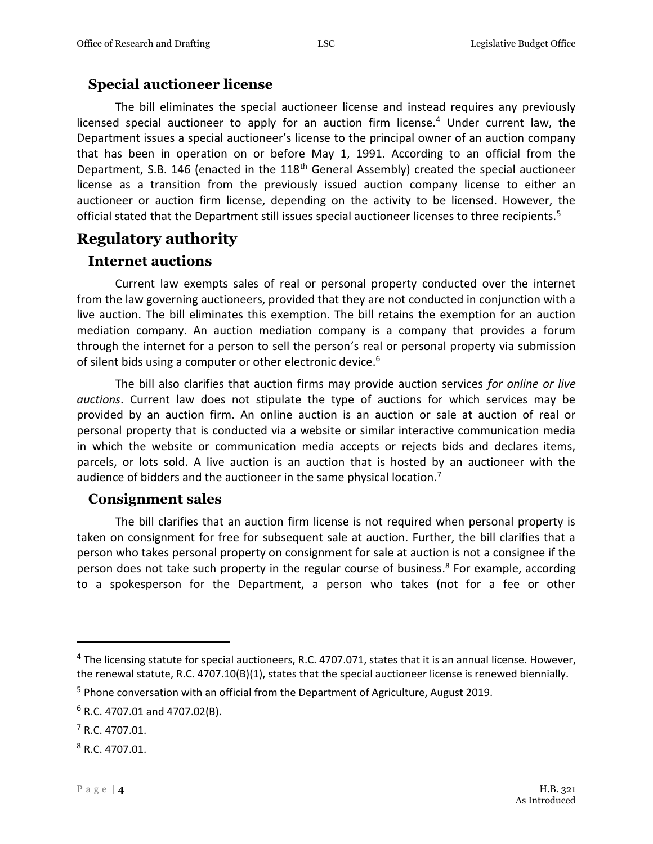#### **Special auctioneer license**

The bill eliminates the special auctioneer license and instead requires any previously licensed special auctioneer to apply for an auction firm license.<sup>4</sup> Under current law, the Department issues a special auctioneer's license to the principal owner of an auction company that has been in operation on or before May 1, 1991. According to an official from the Department, S.B. 146 (enacted in the 118<sup>th</sup> General Assembly) created the special auctioneer license as a transition from the previously issued auction company license to either an auctioneer or auction firm license, depending on the activity to be licensed. However, the official stated that the Department still issues special auctioneer licenses to three recipients.<sup>5</sup>

## **Regulatory authority**

#### **Internet auctions**

Current law exempts sales of real or personal property conducted over the internet from the law governing auctioneers, provided that they are not conducted in conjunction with a live auction. The bill eliminates this exemption. The bill retains the exemption for an auction mediation company. An auction mediation company is a company that provides a forum through the internet for a person to sell the person's real or personal property via submission of silent bids using a computer or other electronic device.<sup>6</sup>

The bill also clarifies that auction firms may provide auction services *for online or live auctions*. Current law does not stipulate the type of auctions for which services may be provided by an auction firm. An online auction is an auction or sale at auction of real or personal property that is conducted via a website or similar interactive communication media in which the website or communication media accepts or rejects bids and declares items, parcels, or lots sold. A live auction is an auction that is hosted by an auctioneer with the audience of bidders and the auctioneer in the same physical location.<sup>7</sup>

#### **Consignment sales**

The bill clarifies that an auction firm license is not required when personal property is taken on consignment for free for subsequent sale at auction. Further, the bill clarifies that a person who takes personal property on consignment for sale at auction is not a consignee if the person does not take such property in the regular course of business.<sup>8</sup> For example, according to a spokesperson for the Department, a person who takes (not for a fee or other

<sup>&</sup>lt;sup>4</sup> The licensing statute for special auctioneers, R.C. 4707.071, states that it is an annual license. However, the renewal statute, R.C. 4707.10(B)(1), states that the special auctioneer license is renewed biennially.

<sup>5</sup> Phone conversation with an official from the Department of Agriculture, August 2019.

 $6$  R.C. 4707.01 and 4707.02(B).

<sup>7</sup> R.C. 4707.01.

<sup>8</sup> R.C. 4707.01.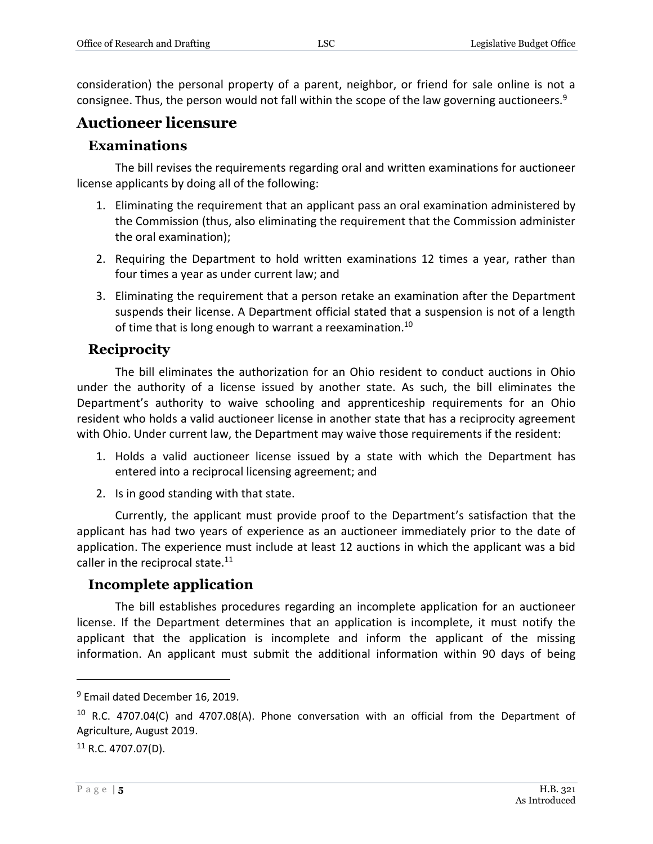consideration) the personal property of a parent, neighbor, or friend for sale online is not a consignee. Thus, the person would not fall within the scope of the law governing auctioneers.<sup>9</sup>

#### **Auctioneer licensure**

#### **Examinations**

The bill revises the requirements regarding oral and written examinations for auctioneer license applicants by doing all of the following:

- 1. Eliminating the requirement that an applicant pass an oral examination administered by the Commission (thus, also eliminating the requirement that the Commission administer the oral examination);
- 2. Requiring the Department to hold written examinations 12 times a year, rather than four times a year as under current law; and
- 3. Eliminating the requirement that a person retake an examination after the Department suspends their license. A Department official stated that a suspension is not of a length of time that is long enough to warrant a reexamination.<sup>10</sup>

#### **Reciprocity**

The bill eliminates the authorization for an Ohio resident to conduct auctions in Ohio under the authority of a license issued by another state. As such, the bill eliminates the Department's authority to waive schooling and apprenticeship requirements for an Ohio resident who holds a valid auctioneer license in another state that has a reciprocity agreement with Ohio. Under current law, the Department may waive those requirements if the resident:

- 1. Holds a valid auctioneer license issued by a state with which the Department has entered into a reciprocal licensing agreement; and
- 2. Is in good standing with that state.

Currently, the applicant must provide proof to the Department's satisfaction that the applicant has had two years of experience as an auctioneer immediately prior to the date of application. The experience must include at least 12 auctions in which the applicant was a bid caller in the reciprocal state.<sup>11</sup>

#### **Incomplete application**

The bill establishes procedures regarding an incomplete application for an auctioneer license. If the Department determines that an application is incomplete, it must notify the applicant that the application is incomplete and inform the applicant of the missing information. An applicant must submit the additional information within 90 days of being

 $9$  Email dated December 16, 2019.

<sup>&</sup>lt;sup>10</sup> R.C. 4707.04(C) and 4707.08(A). Phone conversation with an official from the Department of Agriculture, August 2019.

 $11$  R.C. 4707.07(D).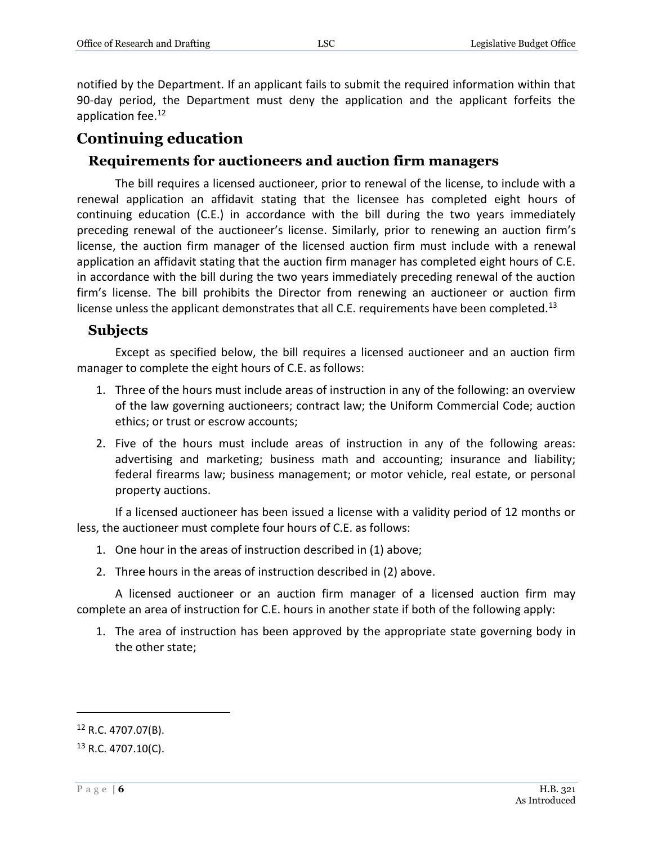notified by the Department. If an applicant fails to submit the required information within that 90-day period, the Department must deny the application and the applicant forfeits the application fee.<sup>12</sup>

#### **Continuing education**

#### **Requirements for auctioneers and auction firm managers**

The bill requires a licensed auctioneer, prior to renewal of the license, to include with a renewal application an affidavit stating that the licensee has completed eight hours of continuing education (C.E.) in accordance with the bill during the two years immediately preceding renewal of the auctioneer's license. Similarly, prior to renewing an auction firm's license, the auction firm manager of the licensed auction firm must include with a renewal application an affidavit stating that the auction firm manager has completed eight hours of C.E. in accordance with the bill during the two years immediately preceding renewal of the auction firm's license. The bill prohibits the Director from renewing an auctioneer or auction firm license unless the applicant demonstrates that all C.E. requirements have been completed.<sup>13</sup>

#### **Subjects**

Except as specified below, the bill requires a licensed auctioneer and an auction firm manager to complete the eight hours of C.E. as follows:

- 1. Three of the hours must include areas of instruction in any of the following: an overview of the law governing auctioneers; contract law; the Uniform Commercial Code; auction ethics; or trust or escrow accounts;
- 2. Five of the hours must include areas of instruction in any of the following areas: advertising and marketing; business math and accounting; insurance and liability; federal firearms law; business management; or motor vehicle, real estate, or personal property auctions.

If a licensed auctioneer has been issued a license with a validity period of 12 months or less, the auctioneer must complete four hours of C.E. as follows:

- 1. One hour in the areas of instruction described in (1) above;
- 2. Three hours in the areas of instruction described in (2) above.

A licensed auctioneer or an auction firm manager of a licensed auction firm may complete an area of instruction for C.E. hours in another state if both of the following apply:

1. The area of instruction has been approved by the appropriate state governing body in the other state;

 $12$  R.C. 4707.07(B).

 $13$  R.C. 4707.10(C).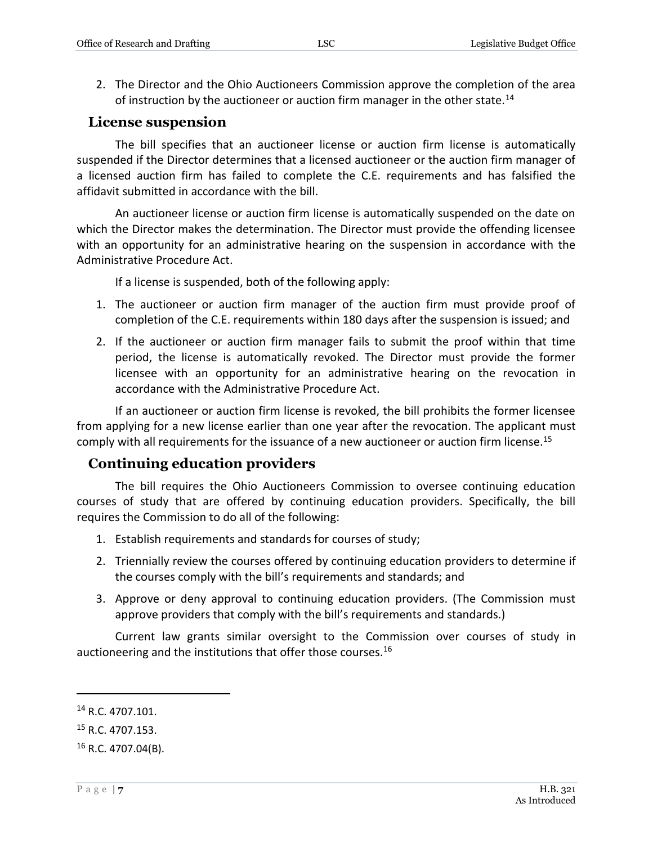2. The Director and the Ohio Auctioneers Commission approve the completion of the area of instruction by the auctioneer or auction firm manager in the other state.<sup>14</sup>

#### **License suspension**

The bill specifies that an auctioneer license or auction firm license is automatically suspended if the Director determines that a licensed auctioneer or the auction firm manager of a licensed auction firm has failed to complete the C.E. requirements and has falsified the affidavit submitted in accordance with the bill.

An auctioneer license or auction firm license is automatically suspended on the date on which the Director makes the determination. The Director must provide the offending licensee with an opportunity for an administrative hearing on the suspension in accordance with the Administrative Procedure Act.

If a license is suspended, both of the following apply:

- 1. The auctioneer or auction firm manager of the auction firm must provide proof of completion of the C.E. requirements within 180 days after the suspension is issued; and
- 2. If the auctioneer or auction firm manager fails to submit the proof within that time period, the license is automatically revoked. The Director must provide the former licensee with an opportunity for an administrative hearing on the revocation in accordance with the Administrative Procedure Act.

If an auctioneer or auction firm license is revoked, the bill prohibits the former licensee from applying for a new license earlier than one year after the revocation. The applicant must comply with all requirements for the issuance of a new auctioneer or auction firm license.<sup>15</sup>

#### **Continuing education providers**

The bill requires the Ohio Auctioneers Commission to oversee continuing education courses of study that are offered by continuing education providers. Specifically, the bill requires the Commission to do all of the following:

- 1. Establish requirements and standards for courses of study;
- 2. Triennially review the courses offered by continuing education providers to determine if the courses comply with the bill's requirements and standards; and
- 3. Approve or deny approval to continuing education providers. (The Commission must approve providers that comply with the bill's requirements and standards.)

Current law grants similar oversight to the Commission over courses of study in auctioneering and the institutions that offer those courses.<sup>16</sup>

<sup>14</sup> R.C. 4707.101.

<sup>15</sup> R.C. 4707.153.

 $16$  R.C. 4707.04(B).